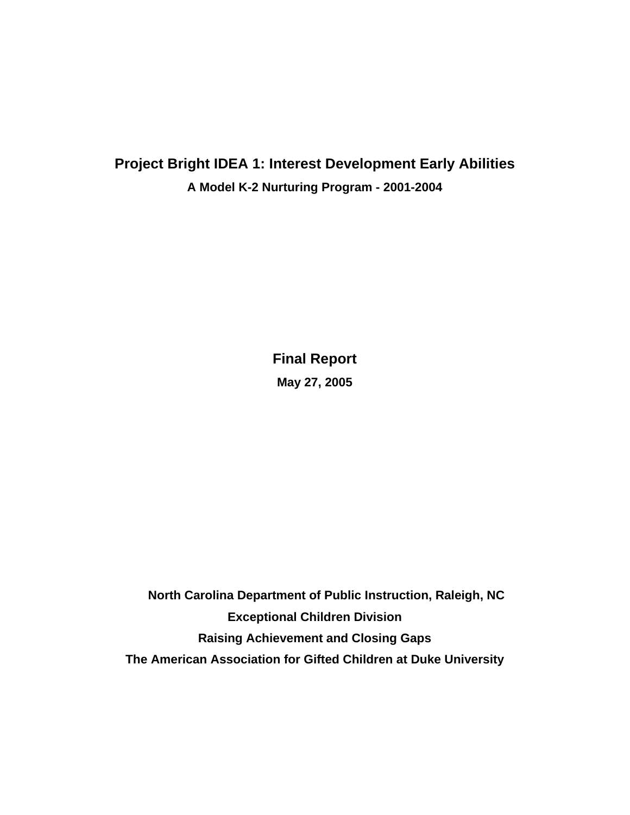# **Project Bright IDEA 1: Interest Development Early Abilities A Model K-2 Nurturing Program - 2001-2004**

**Final Report May 27, 2005** 

**North Carolina Department of Public Instruction, Raleigh, NC Exceptional Children Division Raising Achievement and Closing Gaps The American Association for Gifted Children at Duke University**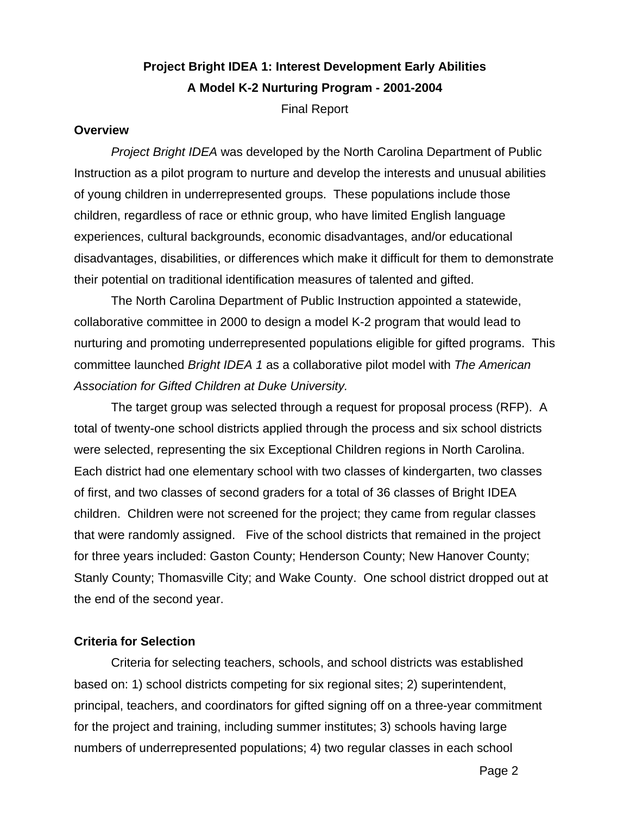# **Project Bright IDEA 1: Interest Development Early Abilities A Model K-2 Nurturing Program - 2001-2004**

Final Report

### **Overview**

*Project Bright IDEA* was developed by the North Carolina Department of Public Instruction as a pilot program to nurture and develop the interests and unusual abilities of young children in underrepresented groups. These populations include those children, regardless of race or ethnic group, who have limited English language experiences, cultural backgrounds, economic disadvantages, and/or educational disadvantages, disabilities, or differences which make it difficult for them to demonstrate their potential on traditional identification measures of talented and gifted.

The North Carolina Department of Public Instruction appointed a statewide, collaborative committee in 2000 to design a model K-2 program that would lead to nurturing and promoting underrepresented populations eligible for gifted programs. This committee launched *Bright IDEA 1* as a collaborative pilot model with *The American Association for Gifted Children at Duke University.*

The target group was selected through a request for proposal process (RFP). A total of twenty-one school districts applied through the process and six school districts were selected, representing the six Exceptional Children regions in North Carolina. Each district had one elementary school with two classes of kindergarten, two classes of first, and two classes of second graders for a total of 36 classes of Bright IDEA children. Children were not screened for the project; they came from regular classes that were randomly assigned. Five of the school districts that remained in the project for three years included: Gaston County; Henderson County; New Hanover County; Stanly County; Thomasville City; and Wake County. One school district dropped out at the end of the second year.

### **Criteria for Selection**

Criteria for selecting teachers, schools, and school districts was established based on: 1) school districts competing for six regional sites; 2) superintendent, principal, teachers, and coordinators for gifted signing off on a three-year commitment for the project and training, including summer institutes; 3) schools having large numbers of underrepresented populations; 4) two regular classes in each school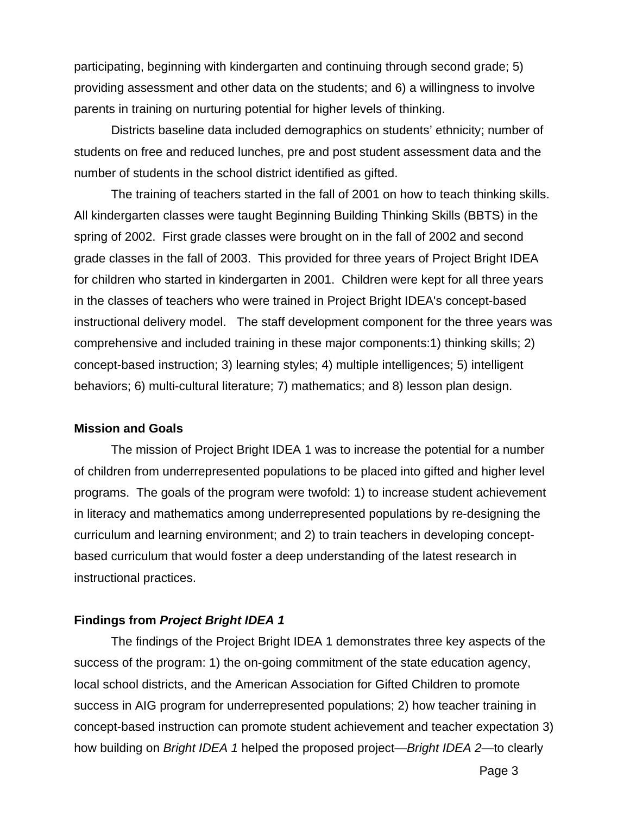participating, beginning with kindergarten and continuing through second grade; 5) providing assessment and other data on the students; and 6) a willingness to involve parents in training on nurturing potential for higher levels of thinking.

 Districts baseline data included demographics on students' ethnicity; number of students on free and reduced lunches, pre and post student assessment data and the number of students in the school district identified as gifted.

The training of teachers started in the fall of 2001 on how to teach thinking skills. All kindergarten classes were taught Beginning Building Thinking Skills (BBTS) in the spring of 2002. First grade classes were brought on in the fall of 2002 and second grade classes in the fall of 2003. This provided for three years of Project Bright IDEA for children who started in kindergarten in 2001. Children were kept for all three years in the classes of teachers who were trained in Project Bright IDEA's concept-based instructional delivery model. The staff development component for the three years was comprehensive and included training in these major components:1) thinking skills; 2) concept-based instruction; 3) learning styles; 4) multiple intelligences; 5) intelligent behaviors; 6) multi-cultural literature; 7) mathematics; and 8) lesson plan design.

#### **Mission and Goals**

 The mission of Project Bright IDEA 1 was to increase the potential for a number of children from underrepresented populations to be placed into gifted and higher level programs. The goals of the program were twofold: 1) to increase student achievement in literacy and mathematics among underrepresented populations by re-designing the curriculum and learning environment; and 2) to train teachers in developing conceptbased curriculum that would foster a deep understanding of the latest research in instructional practices.

### **Findings from** *Project Bright IDEA 1*

The findings of the Project Bright IDEA 1 demonstrates three key aspects of the success of the program: 1) the on-going commitment of the state education agency, local school districts, and the American Association for Gifted Children to promote success in AIG program for underrepresented populations; 2) how teacher training in concept-based instruction can promote student achievement and teacher expectation 3) how building on *Bright IDEA 1* helped the proposed project—*Bright IDEA 2*—to clearly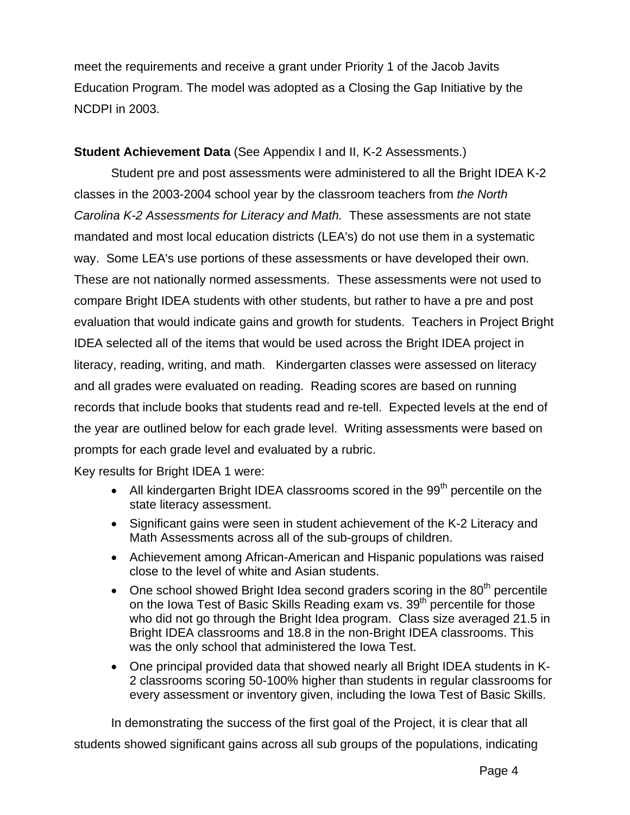meet the requirements and receive a grant under Priority 1 of the Jacob Javits Education Program. The model was adopted as a Closing the Gap Initiative by the NCDPI in 2003.

### **Student Achievement Data** (See Appendix I and II, K-2 Assessments.)

Student pre and post assessments were administered to all the Bright IDEA K-2 classes in the 2003-2004 school year by the classroom teachers from *the North Carolina K-2 Assessments for Literacy and Math.* These assessments are not state mandated and most local education districts (LEA's) do not use them in a systematic way. Some LEA's use portions of these assessments or have developed their own. These are not nationally normed assessments. These assessments were not used to compare Bright IDEA students with other students, but rather to have a pre and post evaluation that would indicate gains and growth for students. Teachers in Project Bright IDEA selected all of the items that would be used across the Bright IDEA project in literacy, reading, writing, and math. Kindergarten classes were assessed on literacy and all grades were evaluated on reading. Reading scores are based on running records that include books that students read and re-tell. Expected levels at the end of the year are outlined below for each grade level. Writing assessments were based on prompts for each grade level and evaluated by a rubric.

Key results for Bright IDEA 1 were:

- All kindergarten Bright IDEA classrooms scored in the  $99<sup>th</sup>$  percentile on the state literacy assessment.
- Significant gains were seen in student achievement of the K-2 Literacy and Math Assessments across all of the sub-groups of children.
- Achievement among African-American and Hispanic populations was raised close to the level of white and Asian students.
- One school showed Bright Idea second graders scoring in the  $80<sup>th</sup>$  percentile on the Iowa Test of Basic Skills Reading exam vs. 39<sup>th</sup> percentile for those who did not go through the Bright Idea program. Class size averaged 21.5 in Bright IDEA classrooms and 18.8 in the non-Bright IDEA classrooms. This was the only school that administered the Iowa Test.
- One principal provided data that showed nearly all Bright IDEA students in K-2 classrooms scoring 50-100% higher than students in regular classrooms for every assessment or inventory given, including the Iowa Test of Basic Skills.

In demonstrating the success of the first goal of the Project, it is clear that all students showed significant gains across all sub groups of the populations, indicating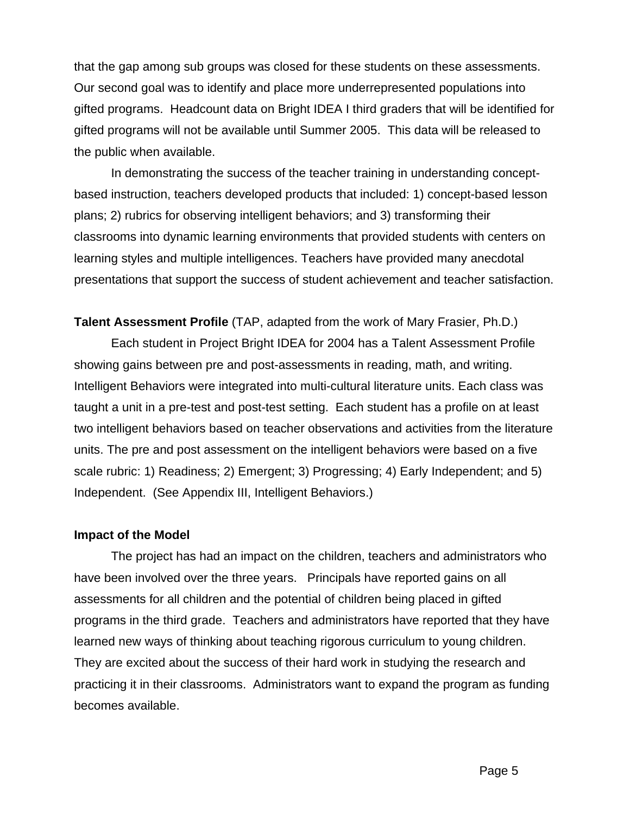that the gap among sub groups was closed for these students on these assessments. Our second goal was to identify and place more underrepresented populations into gifted programs. Headcount data on Bright IDEA I third graders that will be identified for gifted programs will not be available until Summer 2005. This data will be released to the public when available.

In demonstrating the success of the teacher training in understanding conceptbased instruction, teachers developed products that included: 1) concept-based lesson plans; 2) rubrics for observing intelligent behaviors; and 3) transforming their classrooms into dynamic learning environments that provided students with centers on learning styles and multiple intelligences. Teachers have provided many anecdotal presentations that support the success of student achievement and teacher satisfaction.

### **Talent Assessment Profile** (TAP, adapted from the work of Mary Frasier, Ph.D.)

Each student in Project Bright IDEA for 2004 has a Talent Assessment Profile showing gains between pre and post-assessments in reading, math, and writing. Intelligent Behaviors were integrated into multi-cultural literature units. Each class was taught a unit in a pre-test and post-test setting. Each student has a profile on at least two intelligent behaviors based on teacher observations and activities from the literature units. The pre and post assessment on the intelligent behaviors were based on a five scale rubric: 1) Readiness; 2) Emergent; 3) Progressing; 4) Early Independent; and 5) Independent. (See Appendix III, Intelligent Behaviors.)

#### **Impact of the Model**

The project has had an impact on the children, teachers and administrators who have been involved over the three years. Principals have reported gains on all assessments for all children and the potential of children being placed in gifted programs in the third grade. Teachers and administrators have reported that they have learned new ways of thinking about teaching rigorous curriculum to young children. They are excited about the success of their hard work in studying the research and practicing it in their classrooms. Administrators want to expand the program as funding becomes available.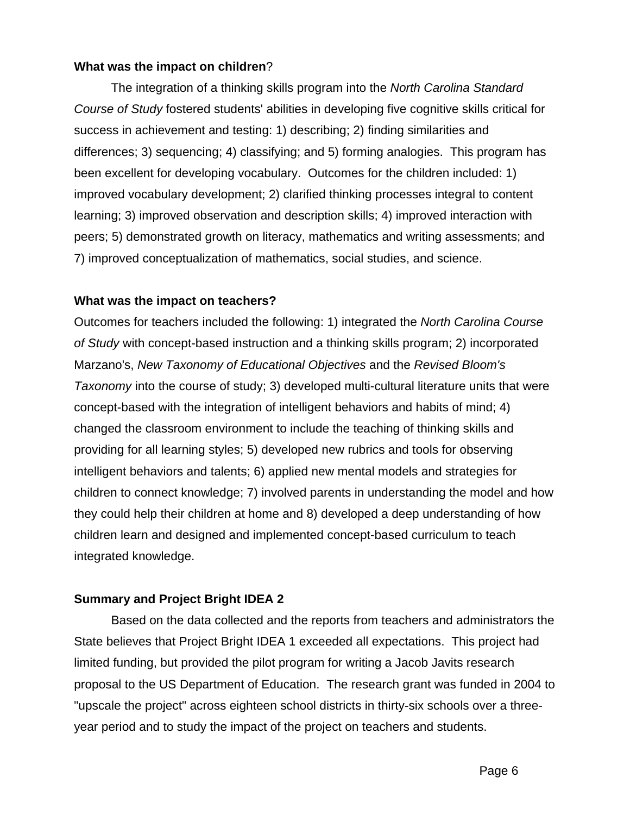### **What was the impact on children**?

The integration of a thinking skills program into the *North Carolina Standard Course of Study* fostered students' abilities in developing five cognitive skills critical for success in achievement and testing: 1) describing; 2) finding similarities and differences; 3) sequencing; 4) classifying; and 5) forming analogies. This program has been excellent for developing vocabulary. Outcomes for the children included: 1) improved vocabulary development; 2) clarified thinking processes integral to content learning; 3) improved observation and description skills; 4) improved interaction with peers; 5) demonstrated growth on literacy, mathematics and writing assessments; and 7) improved conceptualization of mathematics, social studies, and science.

### **What was the impact on teachers?**

Outcomes for teachers included the following: 1) integrated the *North Carolina Course of Study* with concept-based instruction and a thinking skills program; 2) incorporated Marzano's, *New Taxonomy of Educational Objectives* and the *Revised Bloom's Taxonomy* into the course of study; 3) developed multi-cultural literature units that were concept-based with the integration of intelligent behaviors and habits of mind; 4) changed the classroom environment to include the teaching of thinking skills and providing for all learning styles; 5) developed new rubrics and tools for observing intelligent behaviors and talents; 6) applied new mental models and strategies for children to connect knowledge; 7) involved parents in understanding the model and how they could help their children at home and 8) developed a deep understanding of how children learn and designed and implemented concept-based curriculum to teach integrated knowledge.

### **Summary and Project Bright IDEA 2**

Based on the data collected and the reports from teachers and administrators the State believes that Project Bright IDEA 1 exceeded all expectations. This project had limited funding, but provided the pilot program for writing a Jacob Javits research proposal to the US Department of Education. The research grant was funded in 2004 to "upscale the project" across eighteen school districts in thirty-six schools over a threeyear period and to study the impact of the project on teachers and students.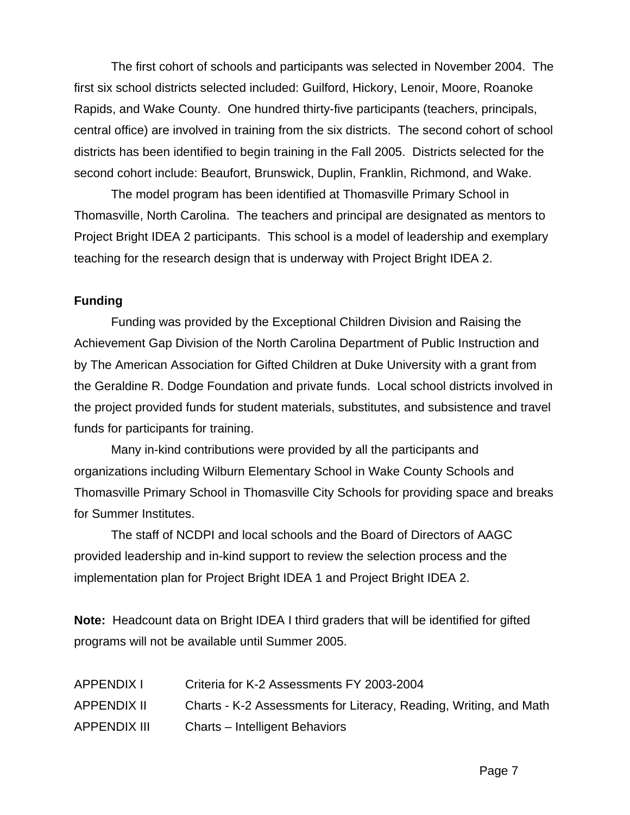The first cohort of schools and participants was selected in November 2004. The first six school districts selected included: Guilford, Hickory, Lenoir, Moore, Roanoke Rapids, and Wake County. One hundred thirty-five participants (teachers, principals, central office) are involved in training from the six districts. The second cohort of school districts has been identified to begin training in the Fall 2005. Districts selected for the second cohort include: Beaufort, Brunswick, Duplin, Franklin, Richmond, and Wake.

The model program has been identified at Thomasville Primary School in Thomasville, North Carolina. The teachers and principal are designated as mentors to Project Bright IDEA 2 participants. This school is a model of leadership and exemplary teaching for the research design that is underway with Project Bright IDEA 2.

### **Funding**

Funding was provided by the Exceptional Children Division and Raising the Achievement Gap Division of the North Carolina Department of Public Instruction and by The American Association for Gifted Children at Duke University with a grant from the Geraldine R. Dodge Foundation and private funds. Local school districts involved in the project provided funds for student materials, substitutes, and subsistence and travel funds for participants for training.

Many in-kind contributions were provided by all the participants and organizations including Wilburn Elementary School in Wake County Schools and Thomasville Primary School in Thomasville City Schools for providing space and breaks for Summer Institutes.

The staff of NCDPI and local schools and the Board of Directors of AAGC provided leadership and in-kind support to review the selection process and the implementation plan for Project Bright IDEA 1 and Project Bright IDEA 2.

**Note:** Headcount data on Bright IDEA I third graders that will be identified for gifted programs will not be available until Summer 2005.

| APPENDIX I         | Criteria for K-2 Assessments FY 2003-2004                         |
|--------------------|-------------------------------------------------------------------|
| <b>APPENDIX II</b> | Charts - K-2 Assessments for Literacy, Reading, Writing, and Math |
| APPENDIX III       | Charts - Intelligent Behaviors                                    |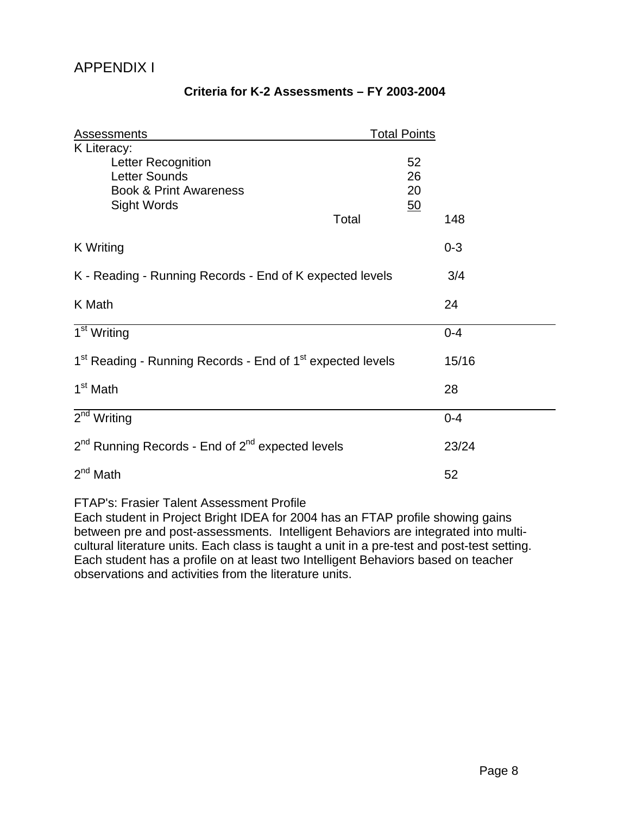## APPENDIX I

|  | Criteria for K-2 Assessments - FY 2003-2004 |  |
|--|---------------------------------------------|--|
|--|---------------------------------------------|--|

| <b>Assessments</b>                                                                                                   | <b>Total Points</b>                  |         |
|----------------------------------------------------------------------------------------------------------------------|--------------------------------------|---------|
| K Literacy:<br>Letter Recognition<br><b>Letter Sounds</b><br><b>Book &amp; Print Awareness</b><br><b>Sight Words</b> | 52<br>26<br>20<br><u>50</u><br>Total | 148     |
| <b>K</b> Writing                                                                                                     |                                      | $0 - 3$ |
| K - Reading - Running Records - End of K expected levels                                                             | 3/4                                  |         |
| K Math                                                                                                               |                                      | 24      |
| 1 <sup>st</sup> Writing                                                                                              |                                      | $0 - 4$ |
| 1 <sup>st</sup> Reading - Running Records - End of 1 <sup>st</sup> expected levels                                   |                                      | 15/16   |
| 1 <sup>st</sup> Math                                                                                                 |                                      | 28      |
| 2 <sup>nd</sup> Writing                                                                                              |                                      | $0 - 4$ |
| 2 <sup>nd</sup> Running Records - End of 2 <sup>nd</sup> expected levels                                             | 23/24                                |         |
| $2^{nd}$ Math                                                                                                        |                                      | 52      |

FTAP's: Frasier Talent Assessment Profile

Each student in Project Bright IDEA for 2004 has an FTAP profile showing gains between pre and post-assessments. Intelligent Behaviors are integrated into multicultural literature units. Each class is taught a unit in a pre-test and post-test setting. Each student has a profile on at least two Intelligent Behaviors based on teacher observations and activities from the literature units.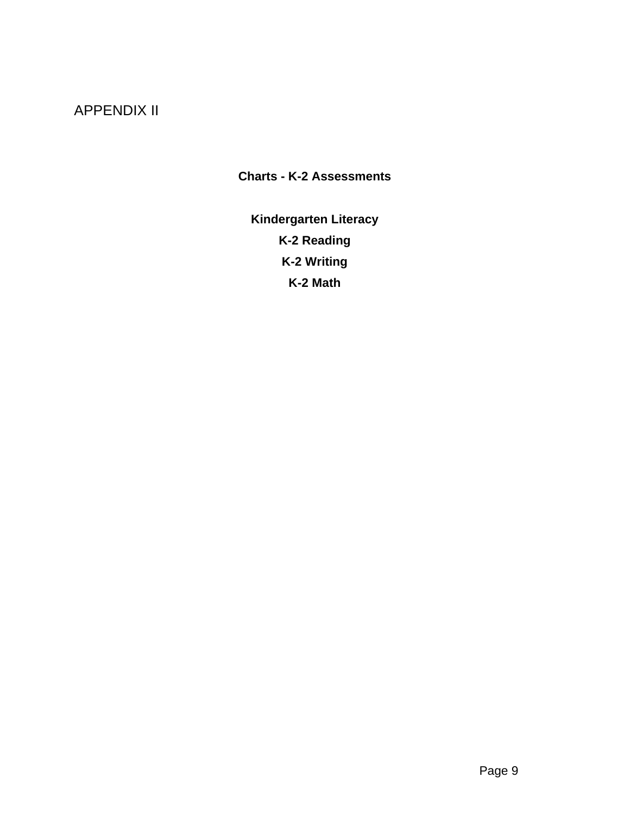## APPENDIX II

**Charts - K-2 Assessments** 

**Kindergarten Literacy K-2 Reading K-2 Writing K-2 Math**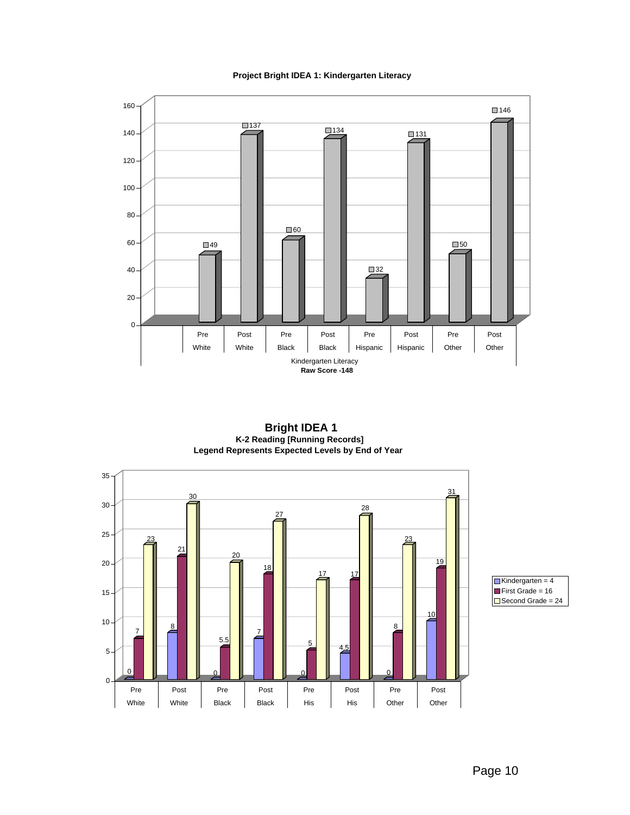



**Bright IDEA 1 K-2 Reading [Running Records] Legend Represents Expected Levels by End of Year**

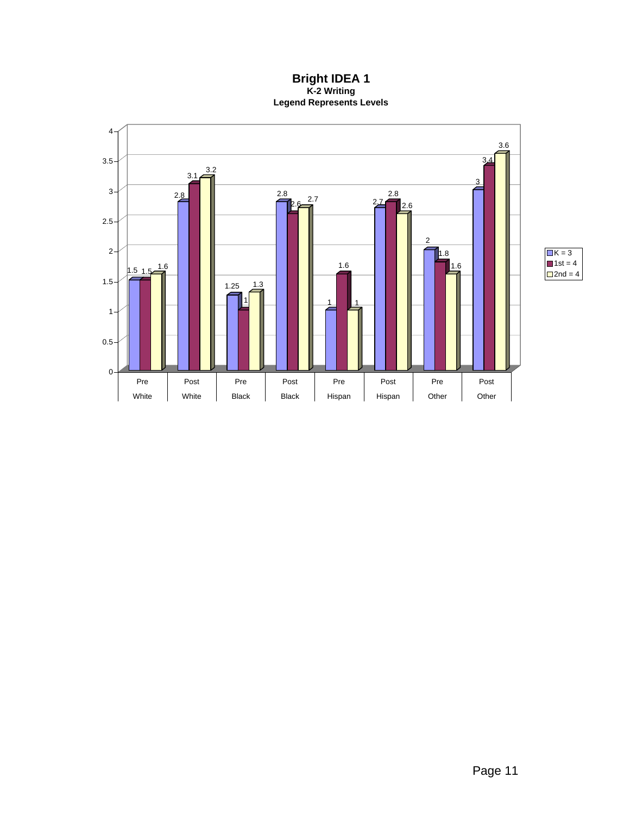**Bright IDEA 1 K-2 Writing Legend Represents Levels**

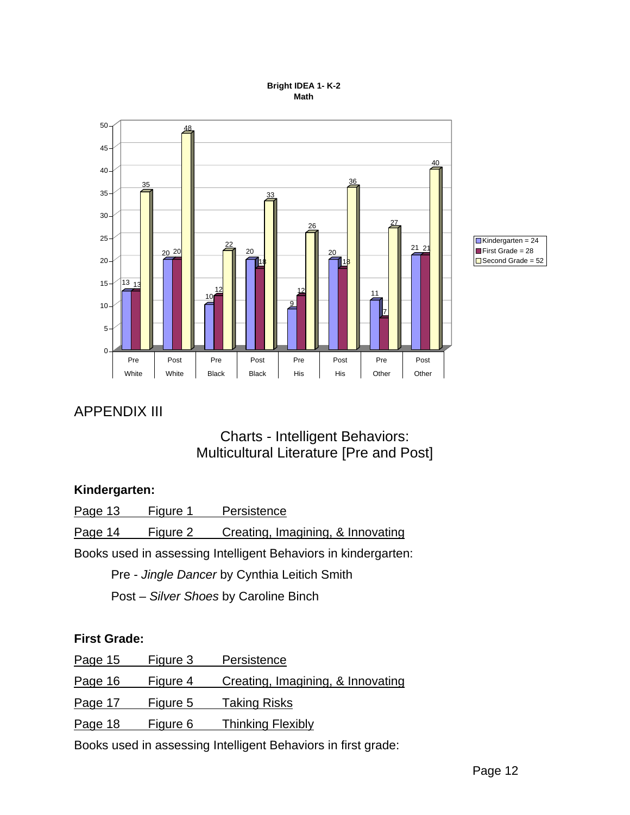





## APPENDIX III

## Charts - Intelligent Behaviors: Multicultural Literature [Pre and Post]

## **Kindergarten:**

| Page 13 | Figure 1 | Persistence                                                         |
|---------|----------|---------------------------------------------------------------------|
| Page 14 |          | Figure 2 Creating, Imagining, & Innovating                          |
|         |          | Deelte treed in eerseering lictallinguit Debetrieus in Lindergenter |

Books used in assessing Intelligent Behaviors in kindergarten:

Pre - *Jingle Dancer* by Cynthia Leitich Smith

Post – *Silver Shoes* by Caroline Binch

## **First Grade:**

| Page 15 | Figure 3 | Persistence                       |
|---------|----------|-----------------------------------|
| Page 16 | Figure 4 | Creating, Imagining, & Innovating |
| Page 17 | Figure 5 | <b>Taking Risks</b>               |
| Page 18 | Figure 6 | <b>Thinking Flexibly</b>          |

Books used in assessing Intelligent Behaviors in first grade: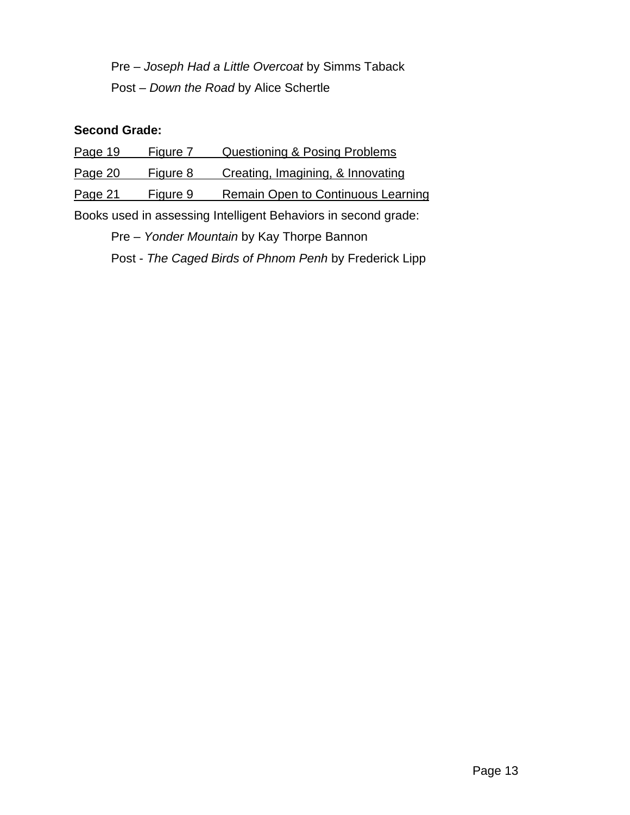Pre – *Joseph Had a Little Overcoat* by Simms Taback Post – *Down the Road* by Alice Schertle

### **Second Grade:**

| Page 19        | Figure 7 | <b>Questioning &amp; Posing Problems</b>  |
|----------------|----------|-------------------------------------------|
| Page 20        | Figure 8 | Creating, Imagining, & Innovating         |
| <u>Page 21</u> | Figure 9 | <b>Remain Open to Continuous Learning</b> |

Books used in assessing Intelligent Behaviors in second grade:

Pre – *Yonder Mountain* by Kay Thorpe Bannon

Post - *The Caged Birds of Phnom Penh* by Frederick Lipp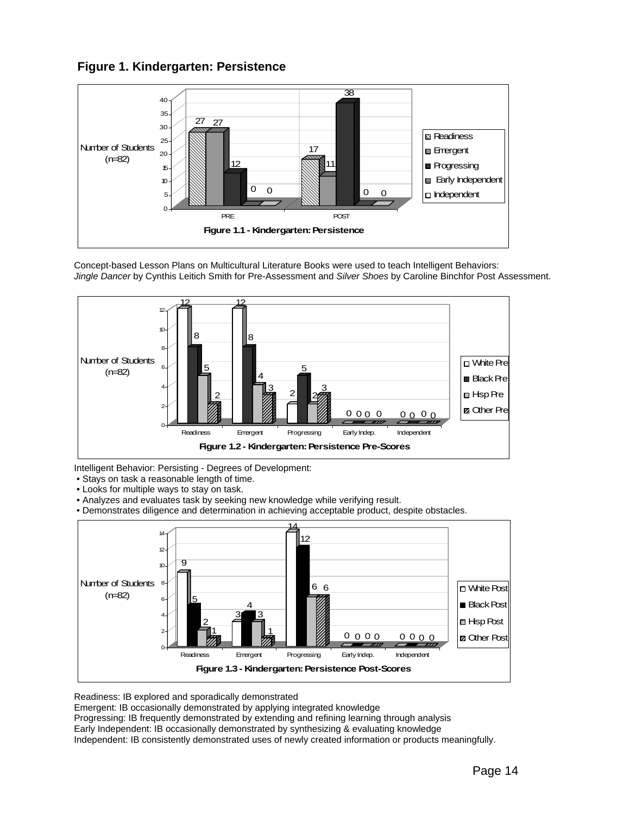



Concept-based Lesson Plans on Multicultural Literature Books were used to teach Intelligent Behaviors: *Jingle Dancer* by Cynthis Leitich Smith for Pre-Assessment and *Silver Shoes* by Caroline Binchfor Post Assessment.



Intelligent Behavior: Persisting - Degrees of Development:

- Stays on task a reasonable length of time.
- Looks for multiple ways to stay on task.

• Analyzes and evaluates task by seeking new knowledge while verifying result.

• Demonstrates diligence and determination in achieving acceptable product, despite obstacles.



Readiness: IB explored and sporadically demonstrated

Emergent: IB occasionally demonstrated by applying integrated knowledge

Progressing: IB frequently demonstrated by extending and refining learning through analysis

Early Independent: IB occasionally demonstrated by synthesizing & evaluating knowledge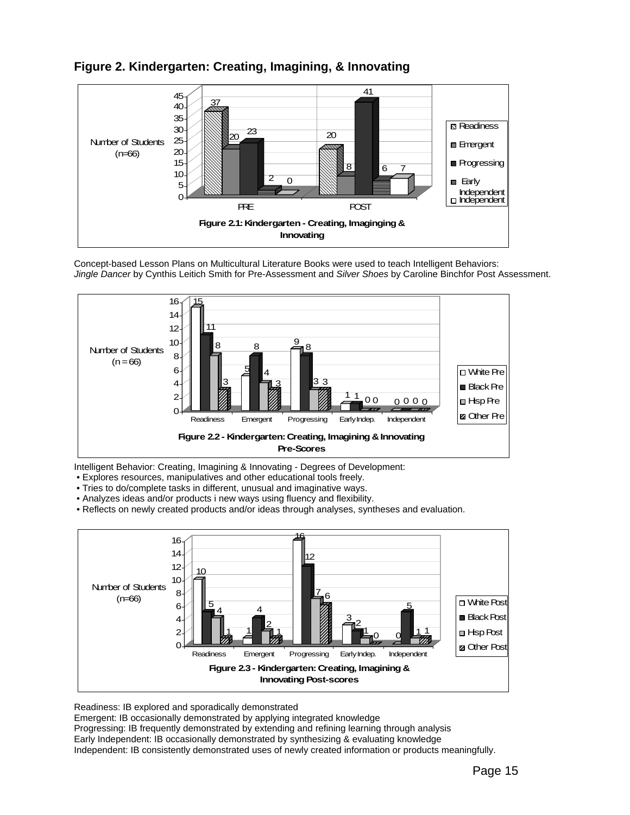

### **Figure 2. Kindergarten: Creating, Imagining, & Innovating**

Concept-based Lesson Plans on Multicultural Literature Books were used to teach Intelligent Behaviors: *Jingle Dancer* by Cynthis Leitich Smith for Pre-Assessment and *Silver Shoes* by Caroline Binchfor Post Assessment.



Intelligent Behavior: Creating, Imagining & Innovating - Degrees of Development:

• Explores resources, manipulatives and other educational tools freely.

• Tries to do/complete tasks in different, unusual and imaginative ways.

• Analyzes ideas and/or products i new ways using fluency and flexibility.

• Reflects on newly created products and/or ideas through analyses, syntheses and evaluation.



Readiness: IB explored and sporadically demonstrated

Emergent: IB occasionally demonstrated by applying integrated knowledge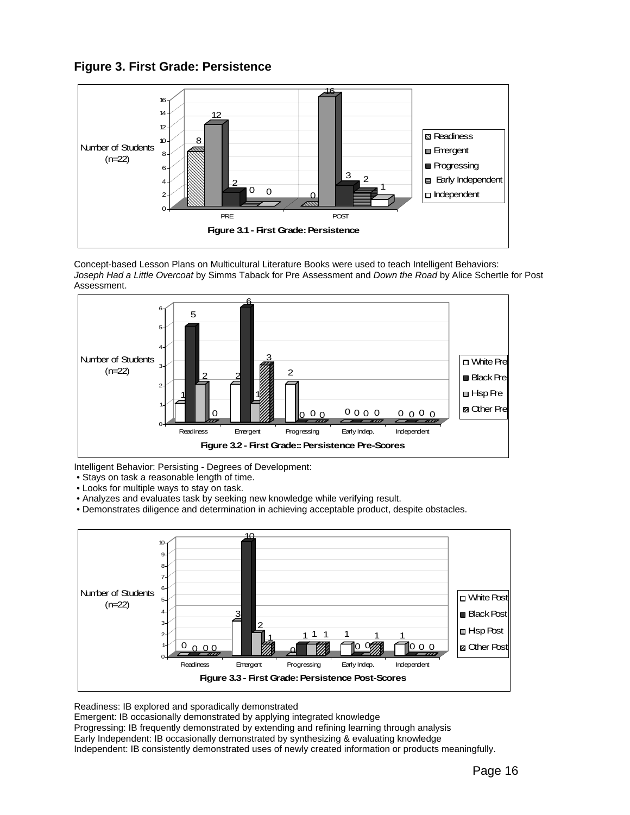



Concept-based Lesson Plans on Multicultural Literature Books were used to teach Intelligent Behaviors: *Joseph Had a Little Overcoat* by Simms Taback for Pre Assessment and *Down the Road* by Alice Schertle for Post Assessment.



Intelligent Behavior: Persisting - Degrees of Development:

- Stays on task a reasonable length of time.
- Looks for multiple ways to stay on task.
- Analyzes and evaluates task by seeking new knowledge while verifying result.
- Demonstrates diligence and determination in achieving acceptable product, despite obstacles.



Readiness: IB explored and sporadically demonstrated

Emergent: IB occasionally demonstrated by applying integrated knowledge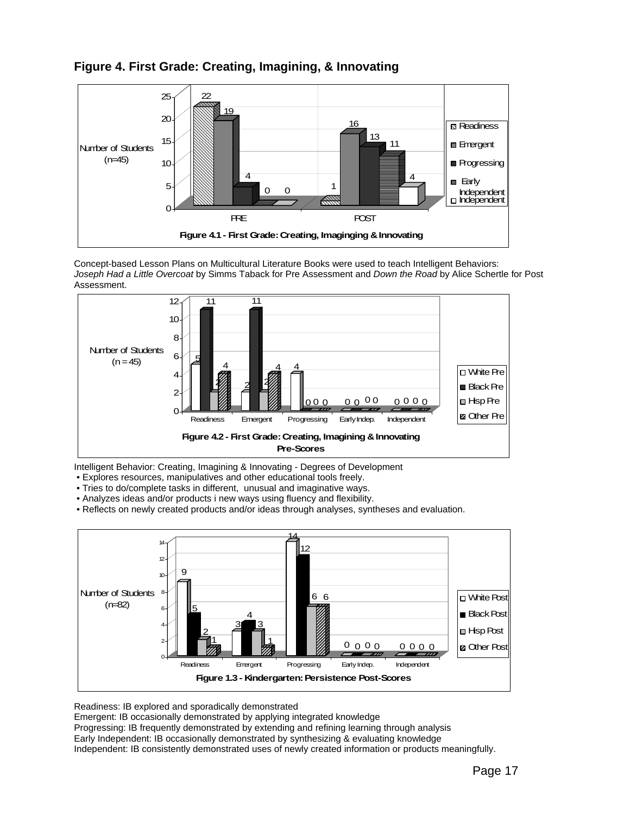

### **Figure 4. First Grade: Creating, Imagining, & Innovating**

Concept-based Lesson Plans on Multicultural Literature Books were used to teach Intelligent Behaviors: *Joseph Had a Little Overcoat* by Simms Taback for Pre Assessment and *Down the Road* by Alice Schertle for Post Assessment.



Intelligent Behavior: Creating, Imagining & Innovating - Degrees of Development

• Explores resources, manipulatives and other educational tools freely.

• Tries to do/complete tasks in different, unusual and imaginative ways.

• Analyzes ideas and/or products i new ways using fluency and flexibility.

• Reflects on newly created products and/or ideas through analyses, syntheses and evaluation.



Readiness: IB explored and sporadically demonstrated

Emergent: IB occasionally demonstrated by applying integrated knowledge

Progressing: IB frequently demonstrated by extending and refining learning through analysis

Early Independent: IB occasionally demonstrated by synthesizing & evaluating knowledge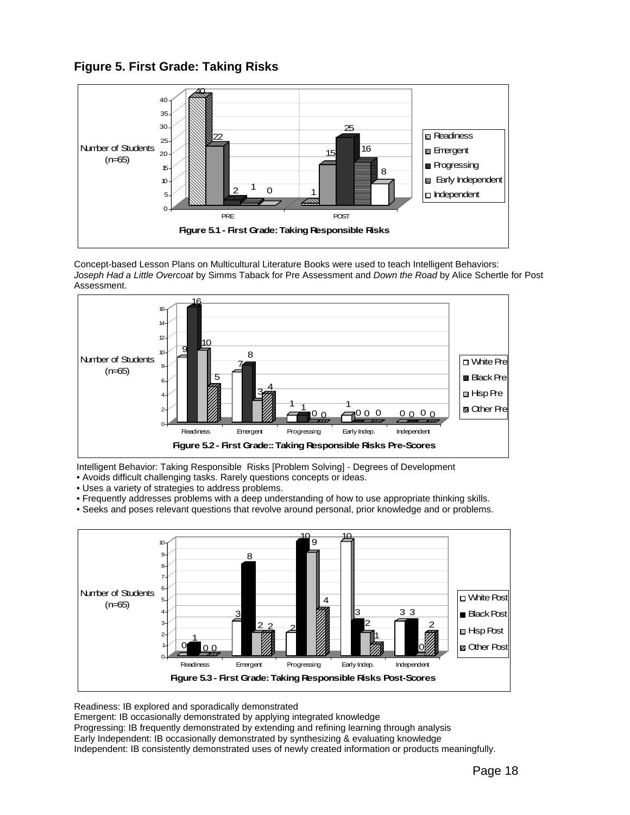



Concept-based Lesson Plans on Multicultural Literature Books were used to teach Intelligent Behaviors: *Joseph Had a Little Overcoat* by Simms Taback for Pre Assessment and *Down the Road* by Alice Schertle for Post Assessment.



Intelligent Behavior: Taking Responsible Risks [Problem Solving] - Degrees of Development

• Avoids difficult challenging tasks. Rarely questions concepts or ideas.

• Uses a variety of strategies to address problems.

• Frequently addresses problems with a deep understanding of how to use appropriate thinking skills.

• Seeks and poses relevant questions that revolve around personal, prior knowledge and or problems.



Readiness: IB explored and sporadically demonstrated

Emergent: IB occasionally demonstrated by applying integrated knowledge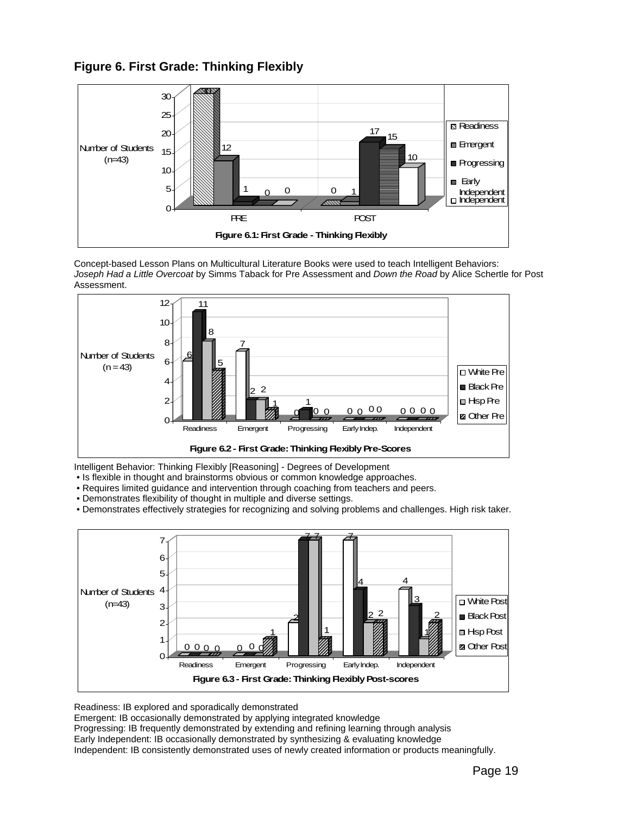### **Figure 6. First Grade: Thinking Flexibly**



Concept-based Lesson Plans on Multicultural Literature Books were used to teach Intelligent Behaviors: *Joseph Had a Little Overcoat* by Simms Taback for Pre Assessment and *Down the Road* by Alice Schertle for Post Assessment.



Intelligent Behavior: Thinking Flexibly [Reasoning] - Degrees of Development

• Is flexible in thought and brainstorms obvious or common knowledge approaches.

- Requires limited guidance and intervention through coaching from teachers and peers.
- Demonstrates flexibility of thought in multiple and diverse settings.
- Demonstrates effectively strategies for recognizing and solving problems and challenges. High risk taker.



Readiness: IB explored and sporadically demonstrated

Emergent: IB occasionally demonstrated by applying integrated knowledge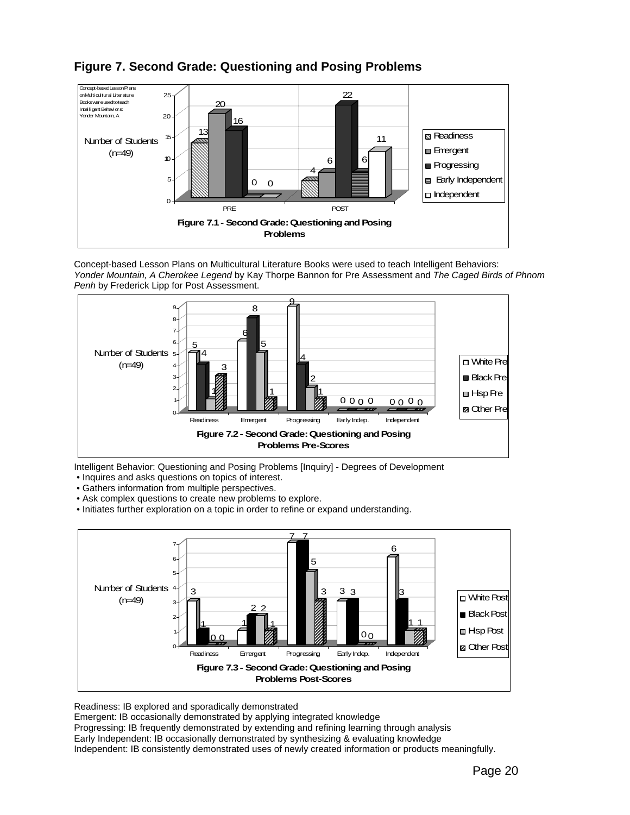

### **Figure 7. Second Grade: Questioning and Posing Problems**

Concept-based Lesson Plans on Multicultural Literature Books were used to teach Intelligent Behaviors: *Yonder Mountain, A Cherokee Legend* by Kay Thorpe Bannon for Pre Assessment and *The Caged Birds of Phnom Penh* by Frederick Lipp for Post Assessment.



Intelligent Behavior: Questioning and Posing Problems [Inquiry] - Degrees of Development

- Inquires and asks questions on topics of interest.
- Gathers information from multiple perspectives.
- Ask complex questions to create new problems to explore.
- Initiates further exploration on a topic in order to refine or expand understanding.



Readiness: IB explored and sporadically demonstrated

Emergent: IB occasionally demonstrated by applying integrated knowledge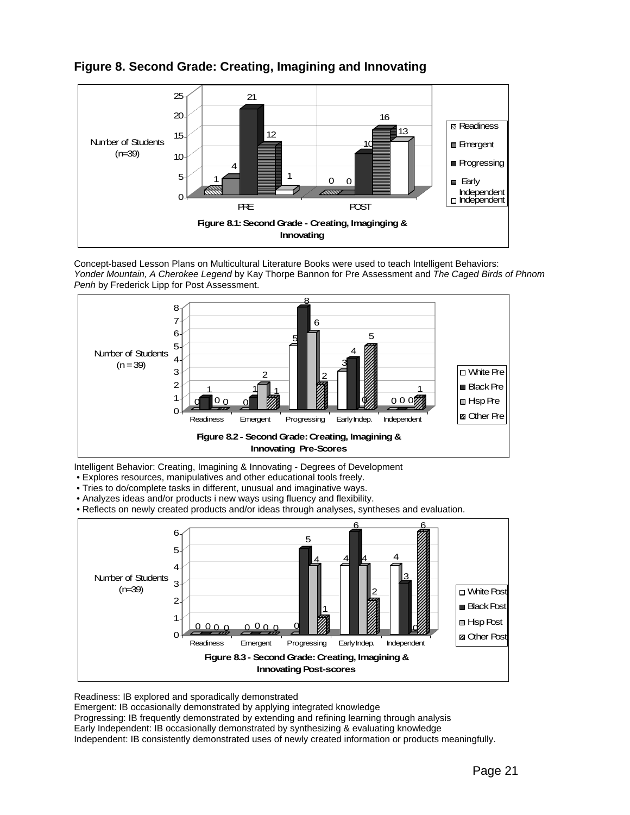

### **Figure 8. Second Grade: Creating, Imagining and Innovating**

Concept-based Lesson Plans on Multicultural Literature Books were used to teach Intelligent Behaviors: *Yonder Mountain, A Cherokee Legend* by Kay Thorpe Bannon for Pre Assessment and *The Caged Birds of Phnom Penh* by Frederick Lipp for Post Assessment.



Intelligent Behavior: Creating, Imagining & Innovating - Degrees of Development

• Explores resources, manipulatives and other educational tools freely.

• Tries to do/complete tasks in different, unusual and imaginative ways.

• Analyzes ideas and/or products i new ways using fluency and flexibility.

• Reflects on newly created products and/or ideas through analyses, syntheses and evaluation.



Readiness: IB explored and sporadically demonstrated

Emergent: IB occasionally demonstrated by applying integrated knowledge

Progressing: IB frequently demonstrated by extending and refining learning through analysis

Early Independent: IB occasionally demonstrated by synthesizing & evaluating knowledge